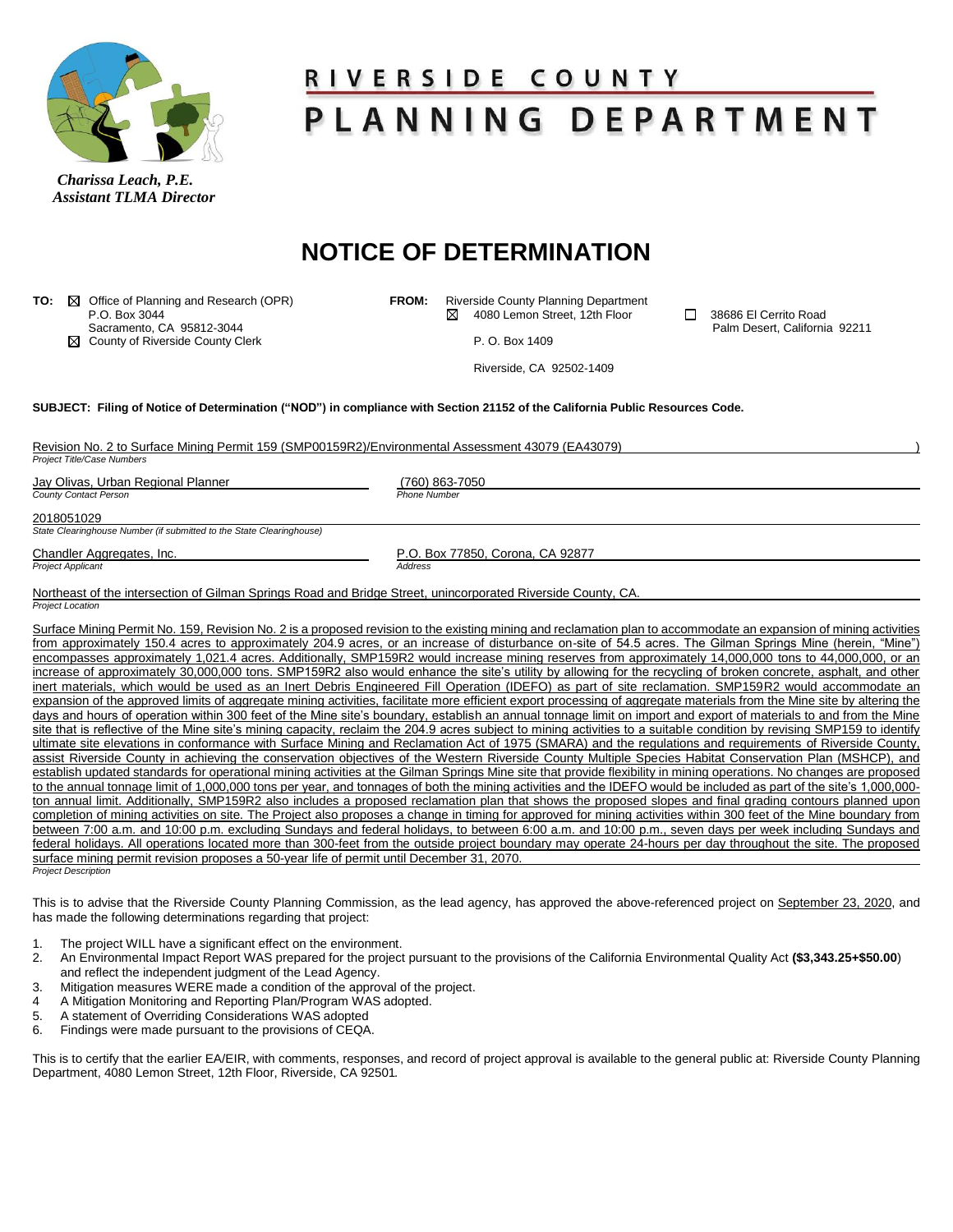

 *Assistant TLMA Director*

## <u>RIVERSIDE COUNTY</u> PLANNING DEPARTMENT

## **NOTICE OF DETERMINATION**

| TO:<br>$\bowtie$                                                                                                             | Office of Planning and Research (OPR)                                | <b>FROM:</b>                     |                | Riverside County Planning Department |        |                               |  |
|------------------------------------------------------------------------------------------------------------------------------|----------------------------------------------------------------------|----------------------------------|----------------|--------------------------------------|--------|-------------------------------|--|
|                                                                                                                              | P.O. Box 3044                                                        |                                  | ⋈              | 4080 Lemon Street, 12th Floor        | $\Box$ | 38686 El Cerrito Road         |  |
| ⊠                                                                                                                            | Sacramento, CA 95812-3044<br>County of Riverside County Clerk        |                                  |                | P. O. Box 1409                       |        | Palm Desert, California 92211 |  |
|                                                                                                                              |                                                                      |                                  |                |                                      |        |                               |  |
|                                                                                                                              |                                                                      |                                  |                | Riverside, CA 92502-1409             |        |                               |  |
| SUBJECT: Filing of Notice of Determination ("NOD") in compliance with Section 21152 of the California Public Resources Code. |                                                                      |                                  |                |                                      |        |                               |  |
| Revision No. 2 to Surface Mining Permit 159 (SMP00159R2)/Environmental Assessment 43079 (EA43079)                            |                                                                      |                                  |                |                                      |        |                               |  |
| Project Title/Case Numbers                                                                                                   |                                                                      |                                  |                |                                      |        |                               |  |
| Jay Olivas, Urban Regional Planner                                                                                           |                                                                      |                                  | (760) 863-7050 |                                      |        |                               |  |
| County Contact Person                                                                                                        |                                                                      | <b>Phone Number</b>              |                |                                      |        |                               |  |
| 2018051029                                                                                                                   |                                                                      |                                  |                |                                      |        |                               |  |
|                                                                                                                              | State Clearinghouse Number (if submitted to the State Clearinghouse) |                                  |                |                                      |        |                               |  |
| Chandler Aggregates, Inc.                                                                                                    |                                                                      | P.O. Box 77850, Corona, CA 92877 |                |                                      |        |                               |  |
| <b>Project Applicant</b>                                                                                                     |                                                                      | Address                          |                |                                      |        |                               |  |
| Northeast of the intersection of Gilman Springs Road and Bridge Street, unincorporated Riverside County, CA.                 |                                                                      |                                  |                |                                      |        |                               |  |
| Project Location                                                                                                             |                                                                      |                                  |                |                                      |        |                               |  |

Surface Mining Permit No. 159, Revision No. 2 is a proposed revision to the existing mining and reclamation plan to accommodate an expansion of mining activities from approximately 150.4 acres to approximately 204.9 acres, or an increase of disturbance on-site of 54.5 acres. The Gilman Springs Mine (herein, "Mine") encompasses approximately 1,021.4 acres. Additionally, SMP159R2 would increase mining reserves from approximately 14,000,000 tons to 44,000,000, or an increase of approximately 30,000,000 tons. SMP159R2 also would enhance the site's utility by allowing for the recycling of broken concrete, asphalt, and other inert materials, which would be used as an Inert Debris Engineered Fill Operation (IDEFO) as part of site reclamation. SMP159R2 would accommodate an expansion of the approved limits of aggregate mining activities, facilitate more efficient export processing of aggregate materials from the Mine site by altering the days and hours of operation within 300 feet of the Mine site's boundary, establish an annual tonnage limit on import and export of materials to and from the Mine site that is reflective of the Mine site's mining capacity, reclaim the 204.9 acres subject to mining activities to a suitable condition by revising SMP159 to identify ultimate site elevations in conformance with Surface Mining and Reclamation Act of 1975 (SMARA) and the regulations and requirements of Riverside County, assist Riverside County in achieving the conservation objectives of the Western Riverside County Multiple Species Habitat Conservation Plan (MSHCP), and establish updated standards for operational mining activities at the Gilman Springs Mine site that provide flexibility in mining operations. No changes are proposed to the annual tonnage limit of 1,000,000 tons per year, and tonnages of both the mining activities and the IDEFO would be included as part of the site's 1,000,000ton annual limit. Additionally, SMP159R2 also includes a proposed reclamation plan that shows the proposed slopes and final grading contours planned upon completion of mining activities on site. The Project also proposes a change in timing for approved for mining activities within 300 feet of the Mine boundary from between 7:00 a.m. and 10:00 p.m. excluding Sundays and federal holidays, to between 6:00 a.m. and 10:00 p.m., seven days per week including Sundays and federal holidays. All operations located more than 300-feet from the outside project boundary may operate 24-hours per day throughout the site. The proposed surface mining permit revision proposes a 50-year life of permit until December 31, 2070. *Project Description*

This is to advise that the Riverside County Planning Commission, as the lead agency, has approved the above-referenced project on September 23, 2020, and has made the following determinations regarding that project:

- The project WILL have a significant effect on the environment.
- 2. An Environmental Impact Report WAS prepared for the project pursuant to the provisions of the California Environmental Quality Act **(\$3,343.25+\$50.00**) and reflect the independent judgment of the Lead Agency.
- 3. Mitigation measures WERE made a condition of the approval of the project.
- 4 A Mitigation Monitoring and Reporting Plan/Program WAS adopted.<br>5 A statement of Overriding Considerations WAS adopted
- 5. A statement of Overriding Considerations WAS adopted
- 6. Findings were made pursuant to the provisions of CEQA.

This is to certify that the earlier EA/EIR, with comments, responses, and record of project approval is available to the general public at: Riverside County Planning Department, 4080 Lemon Street, 12th Floor, Riverside, CA 92501.